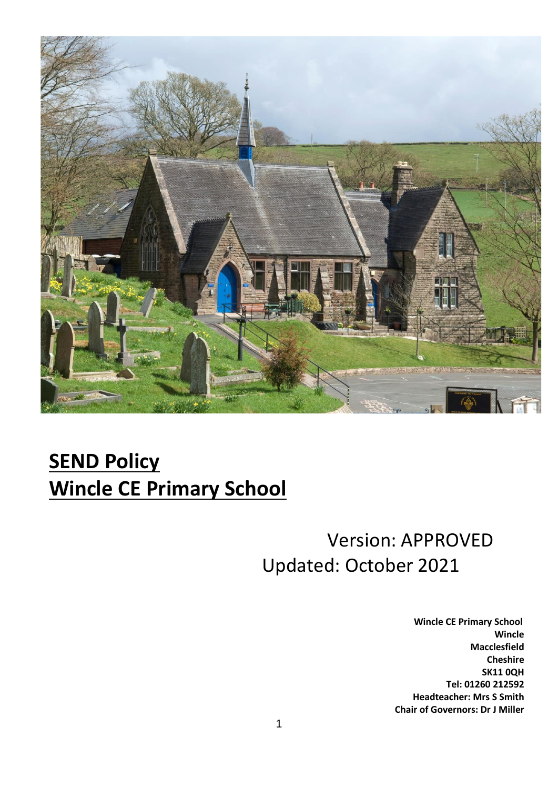

# **SEND Policy Wincle CE Primary School**

# Version: APPROVED Updated: October 2021

 **Wincle CE Primary School Wincle Macclesfield Cheshire SK11 0QH Tel: 01260 212592 Headteacher: Mrs S Smith Chair of Governors: Dr J Miller**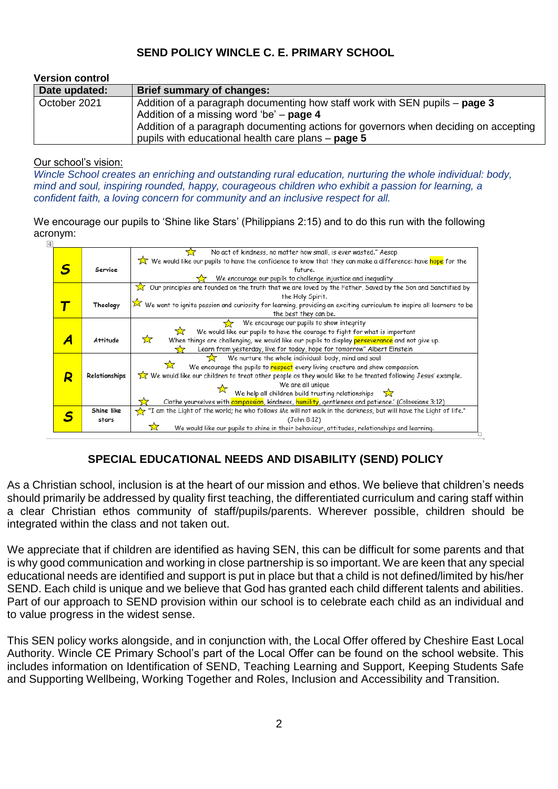## **SEND POLICY WINCLE C. E. PRIMARY SCHOOL**

| <b>Version control</b> |                                                                                                                                            |
|------------------------|--------------------------------------------------------------------------------------------------------------------------------------------|
| Date updated:          | Brief summary of changes:                                                                                                                  |
| October 2021           | Addition of a paragraph documenting how staff work with SEN pupils – page 3<br>Addition of a missing word 'be' $-$ page 4                  |
|                        | Addition of a paragraph documenting actions for governors when deciding on accepting<br>pupils with educational health care plans - page 5 |

#### Our school's vision:

*Wincle School creates an enriching and outstanding rural education, nurturing the whole individual: body, mind and soul, inspiring rounded, happy, courageous children who exhibit a passion for learning, a confident faith, a loving concern for community and an inclusive respect for all.*

We encourage our pupils to 'Shine like Stars' (Philippians 2:15) and to do this run with the following acronym:



# **SPECIAL EDUCATIONAL NEEDS AND DISABILITY (SEND) POLICY**

As a Christian school, inclusion is at the heart of our mission and ethos. We believe that children's needs should primarily be addressed by quality first teaching, the differentiated curriculum and caring staff within a clear Christian ethos community of staff/pupils/parents. Wherever possible, children should be integrated within the class and not taken out.

We appreciate that if children are identified as having SEN, this can be difficult for some parents and that is why good communication and working in close partnership is so important. We are keen that any special educational needs are identified and support is put in place but that a child is not defined/limited by his/her SEND. Each child is unique and we believe that God has granted each child different talents and abilities. Part of our approach to SEND provision within our school is to celebrate each child as an individual and to value progress in the widest sense.

This SEN policy works alongside, and in conjunction with, the Local Offer offered by Cheshire East Local Authority. Wincle CE Primary School's part of the Local Offer can be found on the school website. This includes information on Identification of SEND, Teaching Learning and Support, Keeping Students Safe and Supporting Wellbeing, Working Together and Roles, Inclusion and Accessibility and Transition.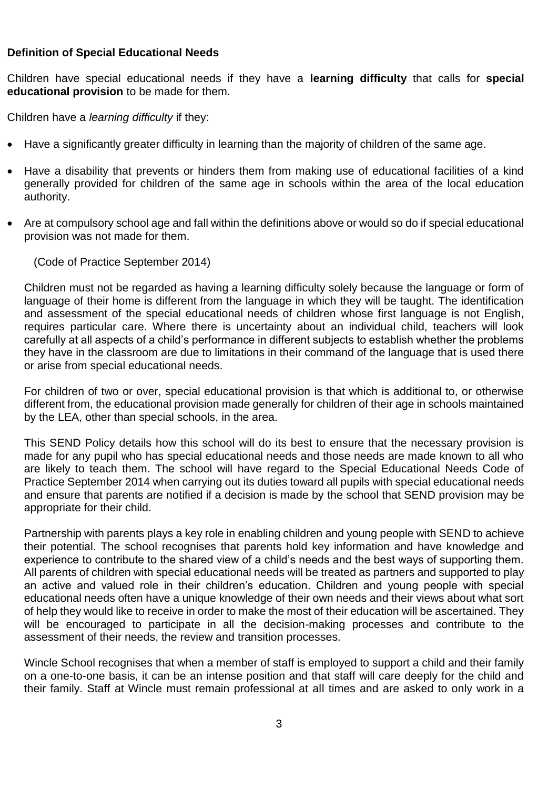#### **Definition of Special Educational Needs**

Children have special educational needs if they have a **learning difficulty** that calls for **special educational provision** to be made for them.

Children have a *learning difficulty* if they:

- Have a significantly greater difficulty in learning than the majority of children of the same age.
- Have a disability that prevents or hinders them from making use of educational facilities of a kind generally provided for children of the same age in schools within the area of the local education authority.
- Are at compulsory school age and fall within the definitions above or would so do if special educational provision was not made for them.

(Code of Practice September 2014)

Children must not be regarded as having a learning difficulty solely because the language or form of language of their home is different from the language in which they will be taught. The identification and assessment of the special educational needs of children whose first language is not English, requires particular care. Where there is uncertainty about an individual child, teachers will look carefully at all aspects of a child's performance in different subjects to establish whether the problems they have in the classroom are due to limitations in their command of the language that is used there or arise from special educational needs.

For children of two or over, special educational provision is that which is additional to, or otherwise different from, the educational provision made generally for children of their age in schools maintained by the LEA, other than special schools, in the area.

This SEND Policy details how this school will do its best to ensure that the necessary provision is made for any pupil who has special educational needs and those needs are made known to all who are likely to teach them. The school will have regard to the Special Educational Needs Code of Practice September 2014 when carrying out its duties toward all pupils with special educational needs and ensure that parents are notified if a decision is made by the school that SEND provision may be appropriate for their child.

Partnership with parents plays a key role in enabling children and young people with SEND to achieve their potential. The school recognises that parents hold key information and have knowledge and experience to contribute to the shared view of a child's needs and the best ways of supporting them. All parents of children with special educational needs will be treated as partners and supported to play an active and valued role in their children's education. Children and young people with special educational needs often have a unique knowledge of their own needs and their views about what sort of help they would like to receive in order to make the most of their education will be ascertained. They will be encouraged to participate in all the decision-making processes and contribute to the assessment of their needs, the review and transition processes.

Wincle School recognises that when a member of staff is employed to support a child and their family on a one-to-one basis, it can be an intense position and that staff will care deeply for the child and their family. Staff at Wincle must remain professional at all times and are asked to only work in a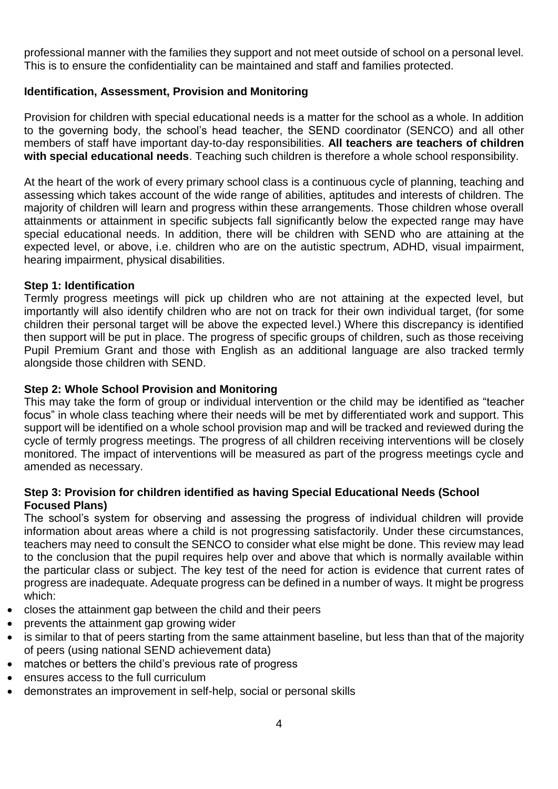professional manner with the families they support and not meet outside of school on a personal level. This is to ensure the confidentiality can be maintained and staff and families protected.

#### **Identification, Assessment, Provision and Monitoring**

Provision for children with special educational needs is a matter for the school as a whole. In addition to the governing body, the school's head teacher, the SEND coordinator (SENCO) and all other members of staff have important day-to-day responsibilities. **All teachers are teachers of children with special educational needs**. Teaching such children is therefore a whole school responsibility.

At the heart of the work of every primary school class is a continuous cycle of planning, teaching and assessing which takes account of the wide range of abilities, aptitudes and interests of children. The majority of children will learn and progress within these arrangements. Those children whose overall attainments or attainment in specific subjects fall significantly below the expected range may have special educational needs. In addition, there will be children with SEND who are attaining at the expected level, or above, i.e. children who are on the autistic spectrum, ADHD, visual impairment, hearing impairment, physical disabilities.

#### **Step 1: Identification**

Termly progress meetings will pick up children who are not attaining at the expected level, but importantly will also identify children who are not on track for their own individual target, (for some children their personal target will be above the expected level.) Where this discrepancy is identified then support will be put in place. The progress of specific groups of children, such as those receiving Pupil Premium Grant and those with English as an additional language are also tracked termly alongside those children with SEND.

#### **Step 2: Whole School Provision and Monitoring**

This may take the form of group or individual intervention or the child may be identified as "teacher focus" in whole class teaching where their needs will be met by differentiated work and support. This support will be identified on a whole school provision map and will be tracked and reviewed during the cycle of termly progress meetings. The progress of all children receiving interventions will be closely monitored. The impact of interventions will be measured as part of the progress meetings cycle and amended as necessary.

#### **Step 3: Provision for children identified as having Special Educational Needs (School Focused Plans)**

The school's system for observing and assessing the progress of individual children will provide information about areas where a child is not progressing satisfactorily. Under these circumstances, teachers may need to consult the SENCO to consider what else might be done. This review may lead to the conclusion that the pupil requires help over and above that which is normally available within the particular class or subject. The key test of the need for action is evidence that current rates of progress are inadequate. Adequate progress can be defined in a number of ways. It might be progress which:

- closes the attainment gap between the child and their peers
- prevents the attainment gap growing wider
- is similar to that of peers starting from the same attainment baseline, but less than that of the majority of peers (using national SEND achievement data)
- matches or betters the child's previous rate of progress
- ensures access to the full curriculum
- demonstrates an improvement in self-help, social or personal skills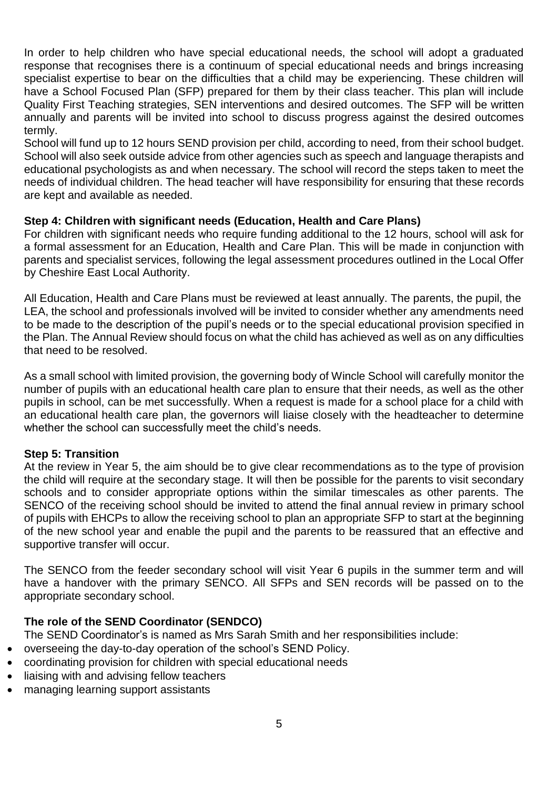In order to help children who have special educational needs, the school will adopt a graduated response that recognises there is a continuum of special educational needs and brings increasing specialist expertise to bear on the difficulties that a child may be experiencing. These children will have a School Focused Plan (SFP) prepared for them by their class teacher. This plan will include Quality First Teaching strategies, SEN interventions and desired outcomes. The SFP will be written annually and parents will be invited into school to discuss progress against the desired outcomes termly.

School will fund up to 12 hours SEND provision per child, according to need, from their school budget. School will also seek outside advice from other agencies such as speech and language therapists and educational psychologists as and when necessary. The school will record the steps taken to meet the needs of individual children. The head teacher will have responsibility for ensuring that these records are kept and available as needed.

#### **Step 4: Children with significant needs (Education, Health and Care Plans)**

For children with significant needs who require funding additional to the 12 hours, school will ask for a formal assessment for an Education, Health and Care Plan. This will be made in conjunction with parents and specialist services, following the legal assessment procedures outlined in the Local Offer by Cheshire East Local Authority.

All Education, Health and Care Plans must be reviewed at least annually. The parents, the pupil, the LEA, the school and professionals involved will be invited to consider whether any amendments need to be made to the description of the pupil's needs or to the special educational provision specified in the Plan. The Annual Review should focus on what the child has achieved as well as on any difficulties that need to be resolved.

As a small school with limited provision, the governing body of Wincle School will carefully monitor the number of pupils with an educational health care plan to ensure that their needs, as well as the other pupils in school, can be met successfully. When a request is made for a school place for a child with an educational health care plan, the governors will liaise closely with the headteacher to determine whether the school can successfully meet the child's needs.

#### **Step 5: Transition**

At the review in Year 5, the aim should be to give clear recommendations as to the type of provision the child will require at the secondary stage. It will then be possible for the parents to visit secondary schools and to consider appropriate options within the similar timescales as other parents. The SENCO of the receiving school should be invited to attend the final annual review in primary school of pupils with EHCPs to allow the receiving school to plan an appropriate SFP to start at the beginning of the new school year and enable the pupil and the parents to be reassured that an effective and supportive transfer will occur.

The SENCO from the feeder secondary school will visit Year 6 pupils in the summer term and will have a handover with the primary SENCO. All SFPs and SEN records will be passed on to the appropriate secondary school.

### **The role of the SEND Coordinator (SENDCO)**

The SEND Coordinator's is named as Mrs Sarah Smith and her responsibilities include:

- overseeing the day-to-day operation of the school's SEND Policy.
- coordinating provision for children with special educational needs
- liaising with and advising fellow teachers
- managing learning support assistants